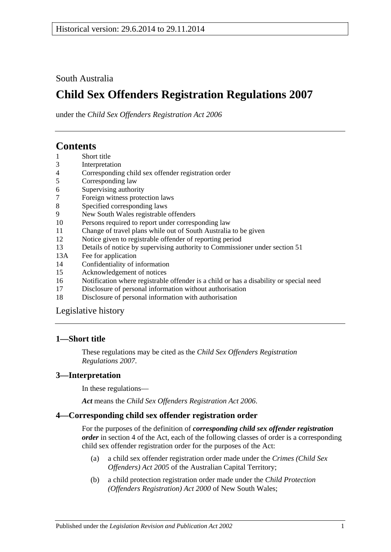## South Australia

# **Child Sex Offenders Registration Regulations 2007**

under the *Child Sex Offenders Registration Act 2006*

# **Contents**

- 1 [Short title](#page-0-0)
- 3 [Interpretation](#page-0-1)
- 4 [Corresponding child sex offender registration order](#page-0-2)
- 5 [Corresponding law](#page-1-0)
- 6 [Supervising authority](#page-1-1)
- 7 [Foreign witness protection laws](#page-2-0)
- 8 [Specified corresponding laws](#page-2-1)
- 9 [New South Wales registrable offenders](#page-2-2)
- 10 [Persons required to report under corresponding law](#page-3-0)
- 11 [Change of travel plans while out of South Australia to be given](#page-3-1)
- 12 [Notice given to registrable offender of reporting period](#page-3-2)
- 13 [Details of notice by supervising authority to Commissioner under section](#page-3-3) 51
- 13A [Fee for application](#page-3-4)
- 14 [Confidentiality of information](#page-4-0)
- 15 [Acknowledgement of notices](#page-4-1)
- 16 [Notification where registrable offender is a child or has a disability or special need](#page-4-2)
- 17 [Disclosure of personal information without authorisation](#page-5-0)
- 18 [Disclosure of personal information with authorisation](#page-5-1)

[Legislative history](#page-6-0)

### <span id="page-0-0"></span>**1—Short title**

These regulations may be cited as the *Child Sex Offenders Registration Regulations 2007*.

### <span id="page-0-1"></span>**3—Interpretation**

In these regulations—

*Act* means the *[Child Sex Offenders Registration Act](http://www.legislation.sa.gov.au/index.aspx?action=legref&type=act&legtitle=Child%20Sex%20Offenders%20Registration%20Act%202006) 2006*.

### <span id="page-0-2"></span>**4—Corresponding child sex offender registration order**

For the purposes of the definition of *corresponding child sex offender registration order* in section 4 of the Act, each of the following classes of order is a corresponding child sex offender registration order for the purposes of the Act:

- (a) a child sex offender registration order made under the *Crimes (Child Sex Offenders) Act 2005* of the Australian Capital Territory;
- (b) a child protection registration order made under the *Child Protection (Offenders Registration) Act 2000* of New South Wales;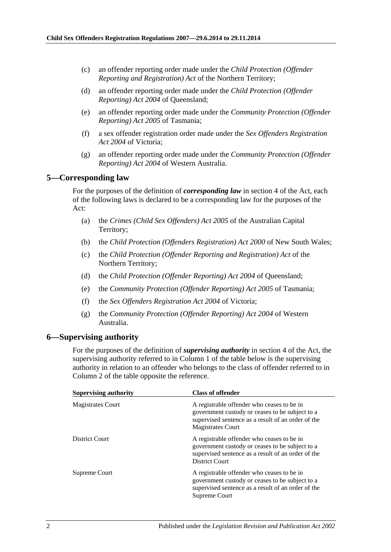- (c) an offender reporting order made under the *Child Protection (Offender Reporting and Registration) Act* of the Northern Territory;
- (d) an offender reporting order made under the *Child Protection (Offender Reporting) Act 2004* of Queensland;
- (e) an offender reporting order made under the *Community Protection (Offender Reporting) Act 2005* of Tasmania;
- (f) a sex offender registration order made under the *Sex Offenders Registration Act 2004* of Victoria;
- (g) an offender reporting order made under the *Community Protection (Offender Reporting) Act 2004* of Western Australia.

#### <span id="page-1-0"></span>**5—Corresponding law**

For the purposes of the definition of *corresponding law* in section 4 of the Act, each of the following laws is declared to be a corresponding law for the purposes of the Act:

- (a) the *Crimes (Child Sex Offenders) Act 2005* of the Australian Capital Territory;
- (b) the *Child Protection (Offenders Registration) Act 2000* of New South Wales;
- (c) the *Child Protection (Offender Reporting and Registration) Act* of the Northern Territory;
- (d) the *Child Protection (Offender Reporting) Act 2004* of Queensland;
- (e) the *Community Protection (Offender Reporting) Act 2005* of Tasmania;
- (f) the *Sex Offenders Registration Act 2004* of Victoria;
- (g) the *Community Protection (Offender Reporting) Act 2004* of Western Australia.

#### <span id="page-1-1"></span>**6—Supervising authority**

For the purposes of the definition of *supervising authority* in section 4 of the Act, the supervising authority referred to in Column 1 of the table below is the supervising authority in relation to an offender who belongs to the class of offender referred to in Column 2 of the table opposite the reference.

| <b>Supervising authority</b> | <b>Class of offender</b>                                                                                                                                                        |
|------------------------------|---------------------------------------------------------------------------------------------------------------------------------------------------------------------------------|
| <b>Magistrates Court</b>     | A registrable offender who ceases to be in<br>government custody or ceases to be subject to a<br>supervised sentence as a result of an order of the<br><b>Magistrates Court</b> |
| District Court               | A registrable offender who ceases to be in<br>government custody or ceases to be subject to a<br>supervised sentence as a result of an order of the<br>District Court           |
| Supreme Court                | A registrable offender who ceases to be in<br>government custody or ceases to be subject to a<br>supervised sentence as a result of an order of the<br>Supreme Court            |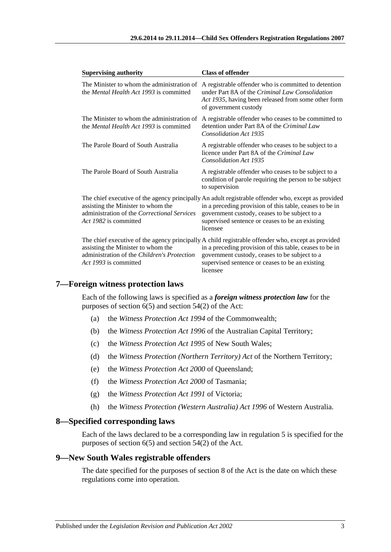| <b>Supervising authority</b>                                                                                      | <b>Class of offender</b>                                                                                                                                                                                                                                                       |
|-------------------------------------------------------------------------------------------------------------------|--------------------------------------------------------------------------------------------------------------------------------------------------------------------------------------------------------------------------------------------------------------------------------|
| The Minister to whom the administration of<br>the <i>Mental Health Act 1993</i> is committed                      | A registrable offender who is committed to detention<br>under Part 8A of the <i>Criminal Law Consolidation</i><br>Act 1935, having been released from some other form<br>of government custody                                                                                 |
| The Minister to whom the administration of<br>the <i>Mental Health Act 1993</i> is committed                      | A registrable offender who ceases to be committed to<br>detention under Part 8A of the Criminal Law<br><b>Consolidation Act 1935</b>                                                                                                                                           |
| The Parole Board of South Australia                                                                               | A registrable offender who ceases to be subject to a<br>licence under Part 8A of the Criminal Law<br>Consolidation Act 1935                                                                                                                                                    |
| The Parole Board of South Australia                                                                               | A registrable offender who ceases to be subject to a<br>condition of parole requiring the person to be subject<br>to supervision                                                                                                                                               |
| assisting the Minister to whom the<br>administration of the <i>Correctional Services</i><br>Act 1982 is committed | The chief executive of the agency principally An adult registrable offender who, except as provided<br>in a preceding provision of this table, ceases to be in<br>government custody, ceases to be subject to a<br>supervised sentence or ceases to be an existing<br>licensee |
| assisting the Minister to whom the<br>administration of the Children's Protection<br>Act 1993 is committed        | The chief executive of the agency principally A child registrable offender who, except as provided<br>in a preceding provision of this table, ceases to be in<br>government custody, ceases to be subject to a<br>supervised sentence or ceases to be an existing<br>licensee  |

### <span id="page-2-0"></span>**7—Foreign witness protection laws**

Each of the following laws is specified as a *foreign witness protection law* for the purposes of section  $6(5)$  and section  $54(2)$  of the Act:

- (a) the *Witness Protection Act 1994* of the Commonwealth;
- (b) the *Witness Protection Act 1996* of the Australian Capital Territory;
- (c) the *Witness Protection Act 1995* of New South Wales;
- (d) the *Witness Protection (Northern Territory) Act* of the Northern Territory;
- (e) the *Witness Protection Act 2000* of Queensland;
- (f) the *Witness Protection Act 2000* of Tasmania;
- (g) the *Witness Protection Act 1991* of Victoria;
- (h) the *Witness Protection (Western Australia) Act 1996* of Western Australia.

#### <span id="page-2-1"></span>**8—Specified corresponding laws**

Each of the laws declared to be a corresponding law in [regulation](#page-1-0) 5 is specified for the purposes of section 6(5) and section 54(2) of the Act.

## <span id="page-2-2"></span>**9—New South Wales registrable offenders**

The date specified for the purposes of section 8 of the Act is the date on which these regulations come into operation.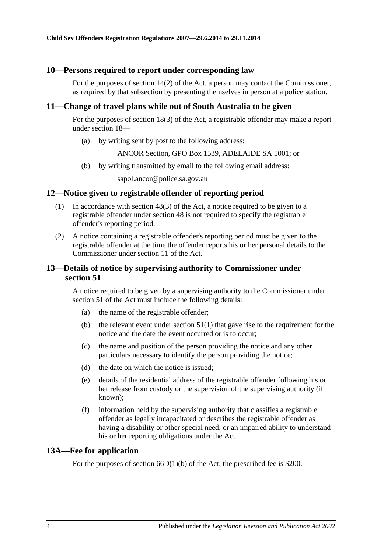#### <span id="page-3-0"></span>**10—Persons required to report under corresponding law**

For the purposes of section 14(2) of the Act, a person may contact the Commissioner, as required by that subsection by presenting themselves in person at a police station.

#### <span id="page-3-1"></span>**11—Change of travel plans while out of South Australia to be given**

For the purposes of section 18(3) of the Act, a registrable offender may make a report under section 18—

(a) by writing sent by post to the following address:

ANCOR Section, GPO Box 1539, ADELAIDE SA 5001; or

(b) by writing transmitted by email to the following email address:

sapol.ancor@police.sa.gov.au

### <span id="page-3-2"></span>**12—Notice given to registrable offender of reporting period**

- (1) In accordance with section 48(3) of the Act, a notice required to be given to a registrable offender under section 48 is not required to specify the registrable offender's reporting period.
- (2) A notice containing a registrable offender's reporting period must be given to the registrable offender at the time the offender reports his or her personal details to the Commissioner under section 11 of the Act.

### <span id="page-3-3"></span>**13—Details of notice by supervising authority to Commissioner under section 51**

A notice required to be given by a supervising authority to the Commissioner under section 51 of the Act must include the following details:

- (a) the name of the registrable offender;
- (b) the relevant event under section  $51(1)$  that gave rise to the requirement for the notice and the date the event occurred or is to occur;
- (c) the name and position of the person providing the notice and any other particulars necessary to identify the person providing the notice;
- (d) the date on which the notice is issued;
- (e) details of the residential address of the registrable offender following his or her release from custody or the supervision of the supervising authority (if known);
- (f) information held by the supervising authority that classifies a registrable offender as legally incapacitated or describes the registrable offender as having a disability or other special need, or an impaired ability to understand his or her reporting obligations under the Act.

#### <span id="page-3-4"></span>**13A—Fee for application**

For the purposes of section 66D(1)(b) of the Act, the prescribed fee is \$200.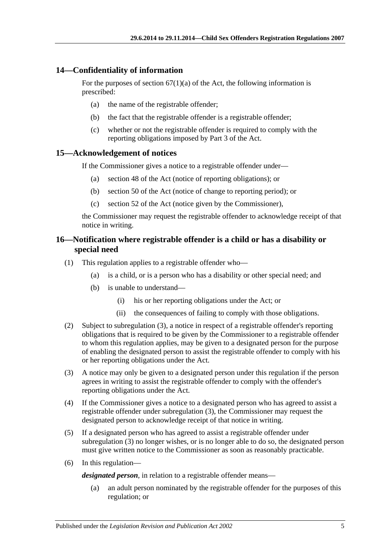## <span id="page-4-0"></span>**14—Confidentiality of information**

For the purposes of section  $67(1)(a)$  of the Act, the following information is prescribed:

- (a) the name of the registrable offender;
- (b) the fact that the registrable offender is a registrable offender;
- (c) whether or not the registrable offender is required to comply with the reporting obligations imposed by Part 3 of the Act.

#### <span id="page-4-1"></span>**15—Acknowledgement of notices**

If the Commissioner gives a notice to a registrable offender under—

- (a) section 48 of the Act (notice of reporting obligations); or
- (b) section 50 of the Act (notice of change to reporting period); or
- (c) section 52 of the Act (notice given by the Commissioner),

the Commissioner may request the registrable offender to acknowledge receipt of that notice in writing.

## <span id="page-4-2"></span>**16—Notification where registrable offender is a child or has a disability or special need**

- (1) This regulation applies to a registrable offender who—
	- (a) is a child, or is a person who has a disability or other special need; and
	- (b) is unable to understand—
		- (i) his or her reporting obligations under the Act; or
		- (ii) the consequences of failing to comply with those obligations.
- (2) Subject to [subregulation](#page-4-3) (3), a notice in respect of a registrable offender's reporting obligations that is required to be given by the Commissioner to a registrable offender to whom this regulation applies, may be given to a designated person for the purpose of enabling the designated person to assist the registrable offender to comply with his or her reporting obligations under the Act.
- <span id="page-4-3"></span>(3) A notice may only be given to a designated person under this regulation if the person agrees in writing to assist the registrable offender to comply with the offender's reporting obligations under the Act.
- (4) If the Commissioner gives a notice to a designated person who has agreed to assist a registrable offender under [subregulation](#page-4-3) (3), the Commissioner may request the designated person to acknowledge receipt of that notice in writing.
- (5) If a designated person who has agreed to assist a registrable offender under [subregulation](#page-4-3) (3) no longer wishes, or is no longer able to do so, the designated person must give written notice to the Commissioner as soon as reasonably practicable.
- (6) In this regulation—

*designated person*, in relation to a registrable offender means—

(a) an adult person nominated by the registrable offender for the purposes of this regulation; or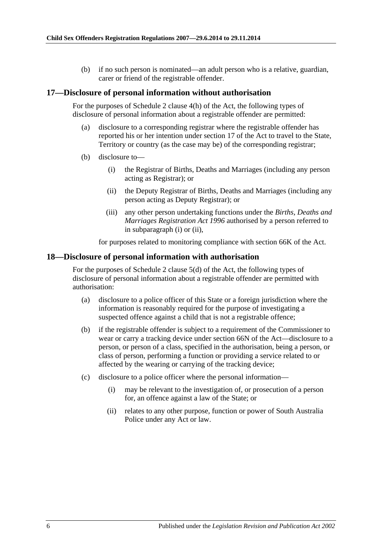(b) if no such person is nominated—an adult person who is a relative, guardian, carer or friend of the registrable offender.

#### <span id="page-5-0"></span>**17—Disclosure of personal information without authorisation**

For the purposes of Schedule 2 clause 4(h) of the Act, the following types of disclosure of personal information about a registrable offender are permitted:

- (a) disclosure to a corresponding registrar where the registrable offender has reported his or her intention under section 17 of the Act to travel to the State, Territory or country (as the case may be) of the corresponding registrar;
- <span id="page-5-3"></span><span id="page-5-2"></span>(b) disclosure to—
	- (i) the Registrar of Births, Deaths and Marriages (including any person acting as Registrar); or
	- (ii) the Deputy Registrar of Births, Deaths and Marriages (including any person acting as Deputy Registrar); or
	- (iii) any other person undertaking functions under the *[Births, Deaths and](http://www.legislation.sa.gov.au/index.aspx?action=legref&type=act&legtitle=Births%20Deaths%20and%20Marriages%20Registration%20Act%201996)  [Marriages Registration Act](http://www.legislation.sa.gov.au/index.aspx?action=legref&type=act&legtitle=Births%20Deaths%20and%20Marriages%20Registration%20Act%201996) 1996* authorised by a person referred to in [subparagraph](#page-5-2) (i) or [\(ii\),](#page-5-3)

for purposes related to monitoring compliance with section 66K of the Act.

#### <span id="page-5-1"></span>**18—Disclosure of personal information with authorisation**

For the purposes of Schedule 2 clause 5(d) of the Act, the following types of disclosure of personal information about a registrable offender are permitted with authorisation:

- (a) disclosure to a police officer of this State or a foreign jurisdiction where the information is reasonably required for the purpose of investigating a suspected offence against a child that is not a registrable offence;
- (b) if the registrable offender is subject to a requirement of the Commissioner to wear or carry a tracking device under section 66N of the Act—disclosure to a person, or person of a class, specified in the authorisation, being a person, or class of person, performing a function or providing a service related to or affected by the wearing or carrying of the tracking device;
- (c) disclosure to a police officer where the personal information—
	- (i) may be relevant to the investigation of, or prosecution of a person for, an offence against a law of the State; or
	- (ii) relates to any other purpose, function or power of South Australia Police under any Act or law.